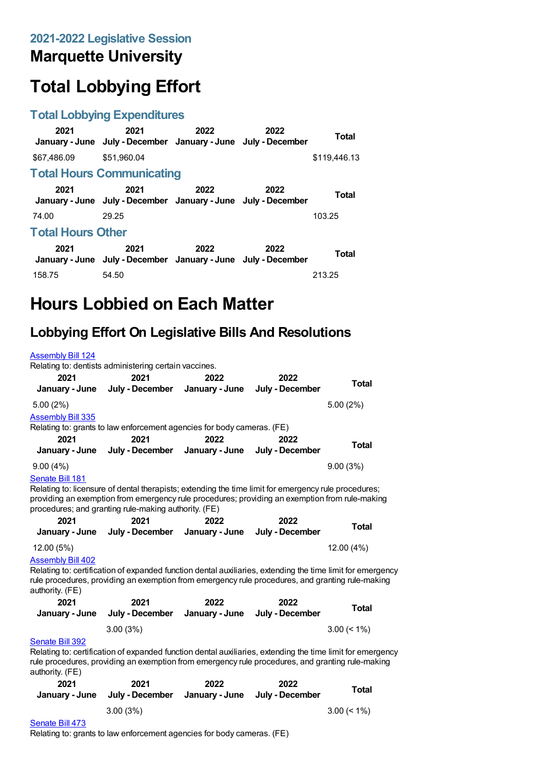### **Marquette University**

# **Total Lobbying Effort**

#### **Total Lobbying Expenditures**

| 2021                     | 2021<br>January - June July - December January - June July - December | 2022 | 2022 | <b>Total</b> |  |  |
|--------------------------|-----------------------------------------------------------------------|------|------|--------------|--|--|
| \$67,486.09              | \$51.960.04                                                           |      |      | \$119,446.13 |  |  |
|                          | <b>Total Hours Communicating</b>                                      |      |      |              |  |  |
| 2021                     | 2021<br>January - June July - December January - June July - December | 2022 | 2022 | Total        |  |  |
| 74.00                    | 29.25                                                                 |      |      | 103.25       |  |  |
| <b>Total Hours Other</b> |                                                                       |      |      |              |  |  |
| 2021                     | 2021<br>January - June July - December January - June July - December | 2022 | 2022 | <b>Total</b> |  |  |
| 158.75                   | 54.50                                                                 |      |      | 213.25       |  |  |

## **Hours Lobbied on Each Matter**

#### **Lobbying Effort On Legislative Bills And Resolutions**

| <b>Assembly Bill 124</b> |                                                                                                            |                |                 |                |
|--------------------------|------------------------------------------------------------------------------------------------------------|----------------|-----------------|----------------|
|                          | Relating to: dentists administering certain vaccines.                                                      |                |                 |                |
| 2021                     | 2021                                                                                                       | 2022           | 2022            | <b>Total</b>   |
| January - June           | July - December                                                                                            | January - June | July - December |                |
| 5.00(2%)                 |                                                                                                            |                |                 | 5.00(2%)       |
| <b>Assembly Bill 335</b> |                                                                                                            |                |                 |                |
|                          | Relating to: grants to law enforcement agencies for body cameras. (FE)                                     |                |                 |                |
| 2021                     | 2021                                                                                                       | 2022           | 2022            | Total          |
| January - June           | July - December                                                                                            | January - June | July - December |                |
| 9.00(4%)                 |                                                                                                            |                |                 | 9.00(3%)       |
| Senate Bill 181          |                                                                                                            |                |                 |                |
|                          | Relating to: licensure of dental therapists; extending the time limit for emergency rule procedures;       |                |                 |                |
|                          | providing an exemption from emergency rule procedures; providing an exemption from rule-making             |                |                 |                |
|                          | procedures; and granting rule-making authority. (FE)                                                       |                |                 |                |
| 2021                     | 2021                                                                                                       | 2022           | 2022            | <b>Total</b>   |
| January - June           | July - December                                                                                            | January - June | July - December |                |
| 12.00 (5%)               |                                                                                                            |                |                 | 12.00 (4%)     |
| <b>Assembly Bill 402</b> |                                                                                                            |                |                 |                |
|                          | Relating to: certification of expanded function dental auxiliaries, extending the time limit for emergency |                |                 |                |
|                          | rule procedures, providing an exemption from emergency rule procedures, and granting rule-making           |                |                 |                |
| authority. (FE)          |                                                                                                            |                |                 |                |
| 2021                     | 2021                                                                                                       | 2022           | 2022            | <b>Total</b>   |
| January - June           | July - December                                                                                            | January - June | July - December |                |
|                          | 3.00(3%)                                                                                                   |                |                 | $3.00 \le 1\%$ |
| Senate Bill 392          |                                                                                                            |                |                 |                |
|                          | Relating to: certification of expanded function dental auxiliaries, extending the time limit for emergency |                |                 |                |
| authority. (FE)          | rule procedures, providing an exemption from emergency rule procedures, and granting rule-making           |                |                 |                |
| 2021                     | 2021                                                                                                       | 2022           | 2022            |                |
| January - June           | July - December                                                                                            | January - June | July - December | <b>Total</b>   |
|                          | 3.00(3%)                                                                                                   |                |                 | $3.00 \le 1\%$ |
| Senate Bill 473          |                                                                                                            |                |                 |                |

#### [Senate](https://lobbying.wi.gov/What/BillInformation/2021REG/Information/19374?tab=Efforts) Bill 473

Relating to: grants to law enforcement agencies for body cameras. (FE)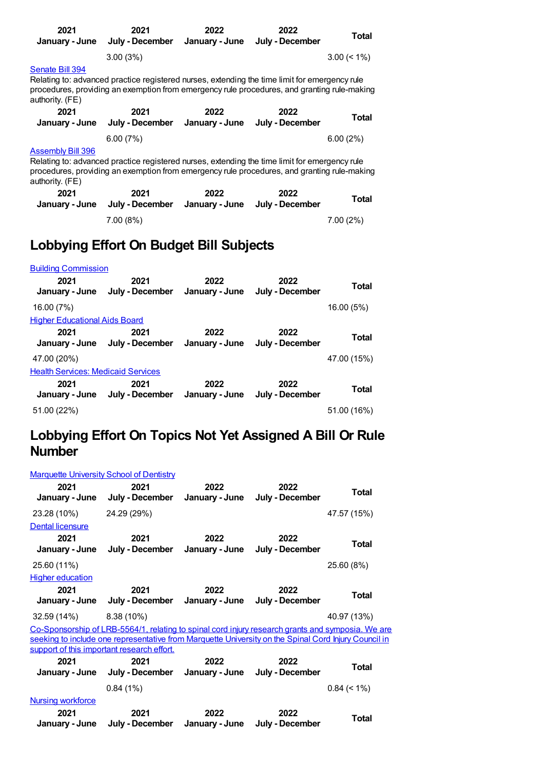| 2021<br>January - June                      | 2021<br>July - December January - June                                                                                                                                                       | 2022 | 2022<br>July - December | Total          |
|---------------------------------------------|----------------------------------------------------------------------------------------------------------------------------------------------------------------------------------------------|------|-------------------------|----------------|
|                                             | 3.00(3%)                                                                                                                                                                                     |      |                         | $3.00 \le 1\%$ |
| Senate Bill 394<br>authority. (FE)          | Relating to: advanced practice registered nurses, extending the time limit for emergency rule<br>procedures, providing an exemption from emergency rule procedures, and granting rule-making |      |                         |                |
| 2021                                        | 2021<br>January - June July - December January - June July - December                                                                                                                        | 2022 | 2022                    | Total          |
|                                             | 6.00(7%)                                                                                                                                                                                     |      |                         | 6.00(2%)       |
| <b>Assembly Bill 396</b><br>authority. (FE) | Relating to: advanced practice registered nurses, extending the time limit for emergency rule<br>procedures, providing an exemption from emergency rule procedures, and granting rule-making |      |                         |                |
| 1001                                        | 1001                                                                                                                                                                                         | ררחר | ררחר                    |                |

| 2021 | 2021<br>January - June July - December January - June July - December | 2022 | 2022 | <b>Total</b> |
|------|-----------------------------------------------------------------------|------|------|--------------|
|      | 7.00(8%)                                                              |      |      | $7.00(2\%)$  |

### **Lobbying Effort On Budget Bill Subjects**

| <b>Building Commission</b>                |                                        |                        |                         |             |  |  |
|-------------------------------------------|----------------------------------------|------------------------|-------------------------|-------------|--|--|
| 2021<br>January - June                    | 2021<br>July - December                | 2022<br>January - June | 2022<br>July - December | Total       |  |  |
| 16.00 (7%)                                |                                        |                        |                         | 16.00 (5%)  |  |  |
| <b>Higher Educational Aids Board</b>      |                                        |                        |                         |             |  |  |
| 2021<br>January - June                    | 2021<br>July - December January - June | 2022                   | 2022<br>July - December | Total       |  |  |
| 47.00 (20%)                               |                                        |                        |                         | 47.00 (15%) |  |  |
| <b>Health Services: Medicaid Services</b> |                                        |                        |                         |             |  |  |
| 2021<br>January - June                    | 2021<br>July - December January - June | 2022                   | 2022<br>July - December | Total       |  |  |
| 51.00 (22%)                               |                                        |                        |                         | 51.00 (16%) |  |  |

#### **Lobbying Effort On Topics Not Yet Assigned A Bill Or Rule Number**

| <b>Marquette University School of Dentistry</b> |  |  |
|-------------------------------------------------|--|--|
|                                                 |  |  |

| 2021<br>January - June   | 2021<br>July - December                                                                              | 2022<br>January - June | 2022<br>July - December | <b>Total</b>   |
|--------------------------|------------------------------------------------------------------------------------------------------|------------------------|-------------------------|----------------|
| 23.28 (10%)              | 24.29 (29%)                                                                                          |                        |                         | 47.57 (15%)    |
| Dental licensure         |                                                                                                      |                        |                         |                |
| 2021                     | 2021                                                                                                 | 2022                   | 2022                    | Total          |
| January - June           | July - December                                                                                      | January - June         | July - December         |                |
| 25.60 (11%)              |                                                                                                      |                        |                         | 25.60 (8%)     |
| <b>Higher education</b>  |                                                                                                      |                        |                         |                |
| 2021                     | 2021                                                                                                 | 2022                   | 2022                    | Total          |
| January - June           | July - December                                                                                      | January - June         | July - December         |                |
| 32.59 (14%)              | $8.38(10\%)$                                                                                         |                        |                         | 40.97 (13%)    |
|                          | Co-Sponsorship of LRB-5564/1, relating to spinal cord injury research grants and symposia. We are    |                        |                         |                |
|                          | seeking to include one representative from Marquette University on the Spinal Cord Injury Council in |                        |                         |                |
|                          | support of this important research effort.                                                           |                        |                         |                |
| 2021<br>January - June   | 2021<br>July - December                                                                              | 2022<br>January - June | 2022<br>July - December | Total          |
|                          |                                                                                                      |                        |                         |                |
|                          | 0.84(1%)                                                                                             |                        |                         | $0.84 \le 1\%$ |
| <b>Nursing workforce</b> |                                                                                                      |                        |                         |                |
| 2021                     | 2021                                                                                                 | 2022                   | 2022                    | Total          |
| January - June           | July - December                                                                                      | January - June         | July - December         |                |